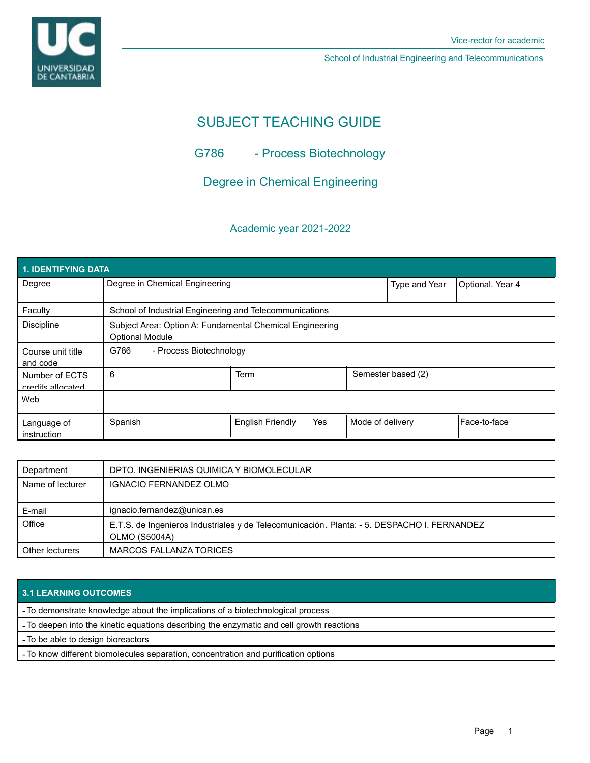

School of Industrial Engineering and Telecommunications

# SUBJECT TEACHING GUIDE

G786 - Process Biotechnology

Degree in Chemical Engineering

## Academic year 2021-2022

| 1. IDENTIFYING DATA                 |                                                                                    |                         |     |                  |                    |                  |
|-------------------------------------|------------------------------------------------------------------------------------|-------------------------|-----|------------------|--------------------|------------------|
| Degree                              | Degree in Chemical Engineering                                                     |                         |     |                  | Type and Year      | Optional. Year 4 |
| Faculty                             | School of Industrial Engineering and Telecommunications                            |                         |     |                  |                    |                  |
| <b>Discipline</b>                   | Subject Area: Option A: Fundamental Chemical Engineering<br><b>Optional Module</b> |                         |     |                  |                    |                  |
| Course unit title<br>and code       | G786<br>- Process Biotechnology                                                    |                         |     |                  |                    |                  |
| Number of ECTS<br>credits allocated | 6                                                                                  | <b>Term</b>             |     |                  | Semester based (2) |                  |
| Web                                 |                                                                                    |                         |     |                  |                    |                  |
| Language of<br>instruction          | Spanish                                                                            | <b>English Friendly</b> | Yes | Mode of delivery |                    | l Face-to-face   |

| Department       | DPTO. INGENIERIAS QUIMICA Y BIOMOLECULAR                                                                     |  |
|------------------|--------------------------------------------------------------------------------------------------------------|--|
| Name of lecturer | IGNACIO FERNANDEZ OLMO                                                                                       |  |
|                  |                                                                                                              |  |
| E-mail           | ignacio.fernandez@unican.es                                                                                  |  |
| Office           | E.T.S. de Ingenieros Industriales y de Telecomunicación. Planta: - 5. DESPACHO I. FERNANDEZ<br>OLMO (S5004A) |  |
| Other lecturers  | <b>MARCOS FALLANZA TORICES</b>                                                                               |  |

## **3.1 LEARNING OUTCOMES**

- To demonstrate knowledge about the implications of a biotechnological process

- To deepen into the kinetic equations describing the enzymatic and cell growth reactions
- To be able to design bioreactors
- To know different biomolecules separation, concentration and purification options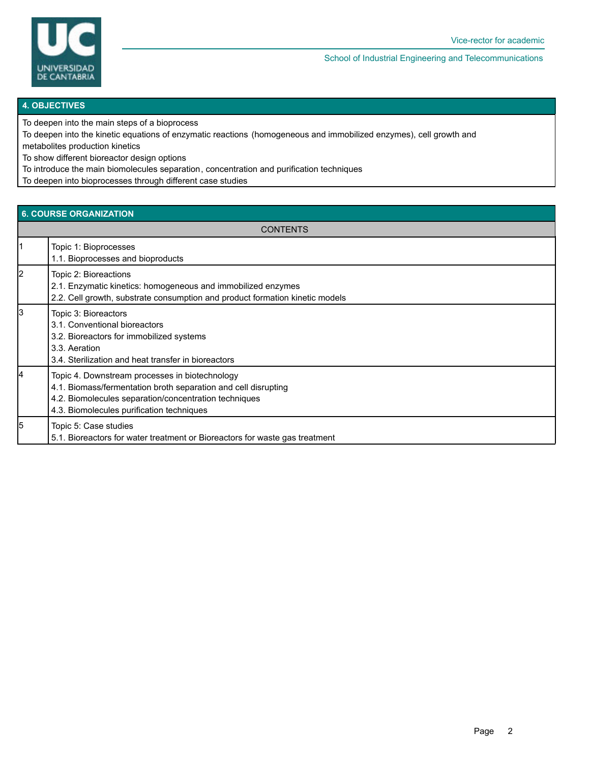

School of Industrial Engineering and Telecommunications

#### **4. OBJECTIVES**

To deepen into the main steps of a bioprocess

To deepen into the kinetic equations of enzymatic reactions (homogeneous and immobilized enzymes), cell growth and

metabolites production kinetics

To show different bioreactor design options

To introduce the main biomolecules separation, concentration and purification techniques

To deepen into bioprocesses through different case studies

## **6. COURSE ORGANIZATION**

|    | <b>CONTENTS</b>                                                                                                                                                                                                        |
|----|------------------------------------------------------------------------------------------------------------------------------------------------------------------------------------------------------------------------|
|    | Topic 1: Bioprocesses<br>1.1. Bioprocesses and bioproducts                                                                                                                                                             |
| 2  | Topic 2: Bioreactions<br>2.1. Enzymatic kinetics: homogeneous and immobilized enzymes<br>2.2. Cell growth, substrate consumption and product formation kinetic models                                                  |
| Iз | Topic 3: Bioreactors<br>3.1. Conventional bioreactors<br>3.2. Bioreactors for immobilized systems<br>3.3. Aeration<br>3.4. Sterilization and heat transfer in bioreactors                                              |
| 14 | Topic 4. Downstream processes in biotechnology<br>4.1. Biomass/fermentation broth separation and cell disrupting<br>4.2. Biomolecules separation/concentration techniques<br>4.3. Biomolecules purification techniques |
| l5 | Topic 5: Case studies<br>5.1. Bioreactors for water treatment or Bioreactors for waste gas treatment                                                                                                                   |